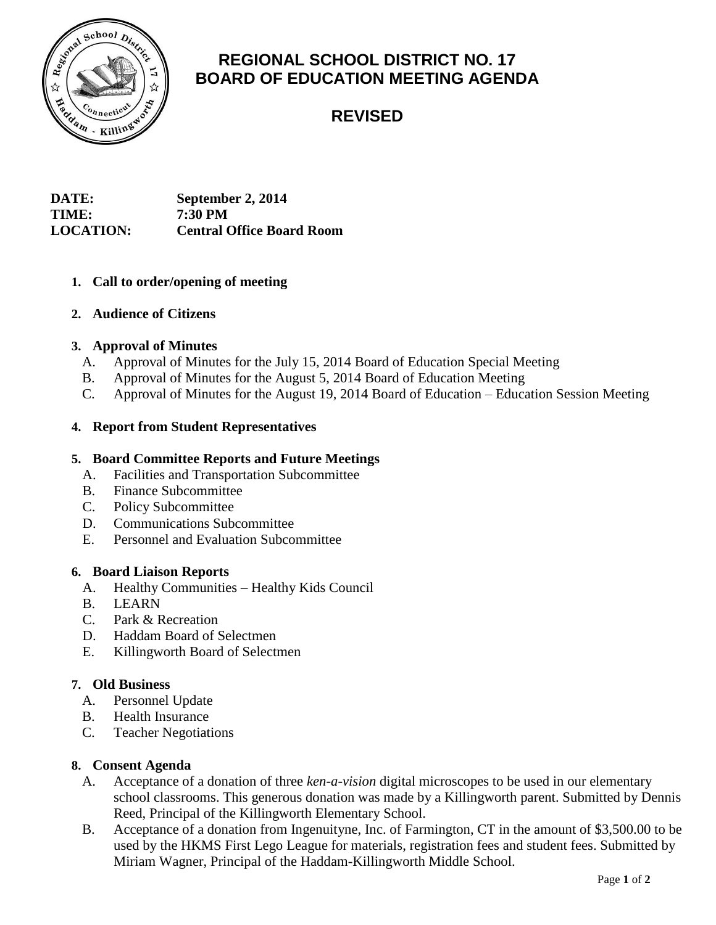

# **REGIONAL SCHOOL DISTRICT NO. 17 BOARD OF EDUCATION MEETING AGENDA**

**REVISED**

| <b>DATE:</b>     | September 2, 2014                |
|------------------|----------------------------------|
| <b>TIME:</b>     | <b>7:30 PM</b>                   |
| <b>LOCATION:</b> | <b>Central Office Board Room</b> |

## **1. Call to order/opening of meeting**

## **2. Audience of Citizens**

## **3. Approval of Minutes**

- A. Approval of Minutes for the July 15, 2014 Board of Education Special Meeting
- B. Approval of Minutes for the August 5, 2014 Board of Education Meeting
- C. Approval of Minutes for the August 19, 2014 Board of Education Education Session Meeting

# **4. Report from Student Representatives**

# **5. Board Committee Reports and Future Meetings**

- A. Facilities and Transportation Subcommittee
- B. Finance Subcommittee
- C. Policy Subcommittee
- D. Communications Subcommittee
- E. Personnel and Evaluation Subcommittee

## **6. Board Liaison Reports**

- A. Healthy Communities Healthy Kids Council
- B. LEARN
- C. Park & Recreation
- D. Haddam Board of Selectmen
- E. Killingworth Board of Selectmen

## **7. Old Business**

- A. Personnel Update
- B. Health Insurance
- C. Teacher Negotiations

## **8. Consent Agenda**

- A. Acceptance of a donation of three *ken-a-vision* digital microscopes to be used in our elementary school classrooms. This generous donation was made by a Killingworth parent. Submitted by Dennis Reed, Principal of the Killingworth Elementary School.
- B. Acceptance of a donation from Ingenuityne, Inc. of Farmington, CT in the amount of \$3,500.00 to be used by the HKMS First Lego League for materials, registration fees and student fees. Submitted by Miriam Wagner, Principal of the Haddam-Killingworth Middle School.